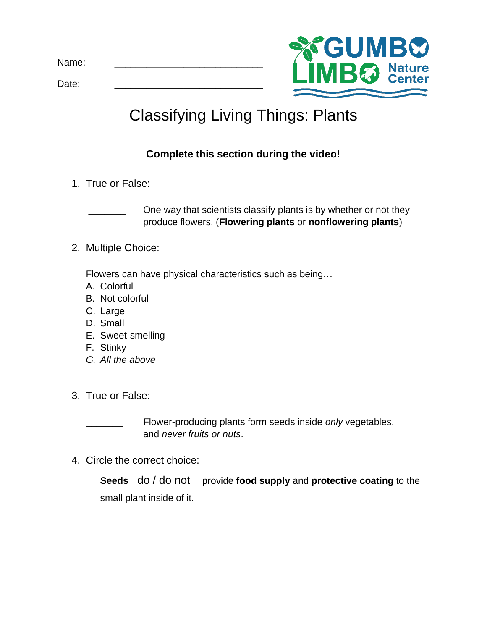Date: \_\_\_\_\_\_\_\_\_\_\_\_\_\_\_\_\_\_\_\_\_\_\_\_\_\_\_\_



## Classifying Living Things: Plants

## **Complete this section during the video!**

1. True or False:

One way that scientists classify plants is by whether or not they produce flowers. (**Flowering plants** or **nonflowering plants**)

2. Multiple Choice:

Flowers can have physical characteristics such as being…

- A. Colorful
- B. Not colorful
- C. Large
- D. Small
- E. Sweet-smelling
- F. Stinky
- *G. All the above*
- 3. True or False:

Flower-producing plants form seeds inside *only* vegetables, and *never fruits or nuts*.

4. Circle the correct choice:

**Seeds** do / do not provide **food supply** and **protective coating** to the small plant inside of it.